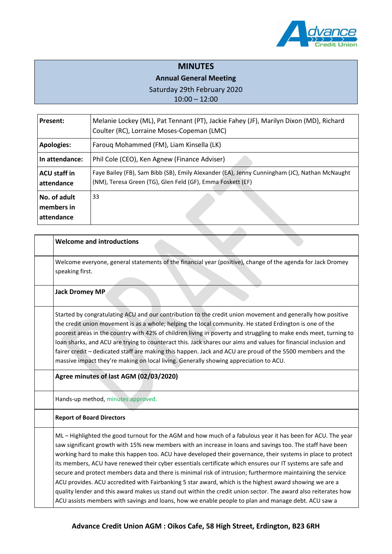

# **MINUTES**

## **Annual General Meeting**

Saturday 29th February 2020

10:00 – 12:00

| <b>Present:</b>                          | Melanie Lockey (ML), Pat Tennant (PT), Jackie Fahey (JF), Marilyn Dixon (MD), Richard<br>Coulter (RC), Lorraine Moses-Copeman (LMC)                         |
|------------------------------------------|-------------------------------------------------------------------------------------------------------------------------------------------------------------|
| <b>Apologies:</b>                        | Farouq Mohammed (FM), Liam Kinsella (LK)                                                                                                                    |
| In attendance:                           | Phil Cole (CEO), Ken Agnew (Finance Adviser)                                                                                                                |
| <b>ACU</b> staff in<br>attendance        | Faye Bailey (FB), Sam Bibb (SB), Emily Alexander (EA), Jenny Cunningham (JC), Nathan McNaught<br>(NM), Teresa Green (TG), Glen Feld (GF), Emma Foskett (EF) |
| No. of adult<br>members in<br>attendance | 33                                                                                                                                                          |

| <b>Welcome and introductions</b>                                                                                                                                                                                                                                                                                                                                                                                                                                                                                                                                                                                                                                                                                                                                                                                                                                                                           |
|------------------------------------------------------------------------------------------------------------------------------------------------------------------------------------------------------------------------------------------------------------------------------------------------------------------------------------------------------------------------------------------------------------------------------------------------------------------------------------------------------------------------------------------------------------------------------------------------------------------------------------------------------------------------------------------------------------------------------------------------------------------------------------------------------------------------------------------------------------------------------------------------------------|
| Welcome everyone, general statements of the financial year (positive), change of the agenda for Jack Dromey<br>speaking first.                                                                                                                                                                                                                                                                                                                                                                                                                                                                                                                                                                                                                                                                                                                                                                             |
| <b>Jack Dromey MP</b>                                                                                                                                                                                                                                                                                                                                                                                                                                                                                                                                                                                                                                                                                                                                                                                                                                                                                      |
| Started by congratulating ACU and our contribution to the credit union movement and generally how positive<br>the credit union movement is as a whole; helping the local community. He stated Erdington is one of the<br>poorest areas in the country with 42% of children living in poverty and struggling to make ends meet, turning to<br>loan sharks, and ACU are trying to counteract this. Jack shares our aims and values for financial inclusion and<br>fairer credit - dedicated staff are making this happen. Jack and ACU are proud of the 5500 members and the<br>massive impact they're making on local living. Generally showing appreciation to ACU.                                                                                                                                                                                                                                        |
| Agree minutes of last AGM (02/03/2020)                                                                                                                                                                                                                                                                                                                                                                                                                                                                                                                                                                                                                                                                                                                                                                                                                                                                     |
| Hands-up method, minutes approved.                                                                                                                                                                                                                                                                                                                                                                                                                                                                                                                                                                                                                                                                                                                                                                                                                                                                         |
| <b>Report of Board Directors</b>                                                                                                                                                                                                                                                                                                                                                                                                                                                                                                                                                                                                                                                                                                                                                                                                                                                                           |
| ML - Highlighted the good turnout for the AGM and how much of a fabulous year it has been for ACU. The year<br>saw significant growth with 15% new members with an increase in loans and savings too. The staff have been<br>working hard to make this happen too. ACU have developed their governance, their systems in place to protect<br>its members, ACU have renewed their cyber essentials certificate which ensures our IT systems are safe and<br>secure and protect members data and there is minimal risk of intrusion; furthermore maintaining the service<br>ACU provides. ACU accredited with Fairbanking 5 star award, which is the highest award showing we are a<br>quality lender and this award makes us stand out within the credit union sector. The award also reiterates how<br>ACU assists members with savings and loans, how we enable people to plan and manage debt. ACU saw a |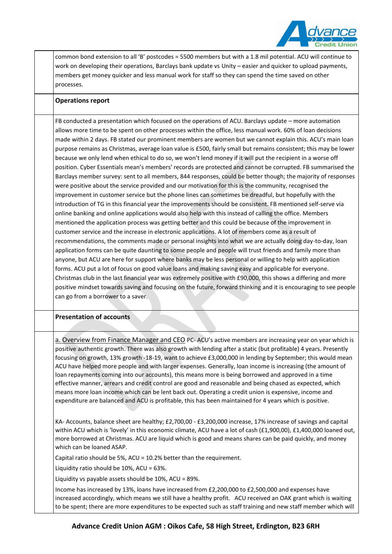

common bond extension to all 'B' postcodes = 5500 members but with a 1.8 mil potential. ACU will continue to work on developing their operations, Barclays bank update vs Unity – easier and quicker to upload payments, members get money quicker and less manual work for staff so they can spend the time saved on other processes.

#### **Operations report**

FB conducted a presentation which focused on the operations of ACU. Barclays update – more automation allows more time to be spent on other processes within the office, less manual work. 60% of loan decisions made within 2 days. FB stated our prominent members are women but we cannot explain this. ACU's main loan purpose remains as Christmas, average loan value is £500, fairly small but remains consistent; this may be lower because we only lend when ethical to do so, we won't lend money if it will put the recipient in a worse off position. Cyber Essentials mean's members' records are protected and cannot be corrupted. FB summarised the Barclays member survey: sent to all members, 844 responses, could be better though; the majority of responses were positive about the service provided and our motivation for this is the community, recognised the improvement in customer service but the phone lines can sometimes be dreadful, but hopefully with the introduction of TG in this financial year the improvements should be consistent. FB mentioned self-serve via online banking and online applications would also help with this instead of calling the office. Members mentioned the application process was getting better and this could be because of the improvement in customer service and the increase in electronic applications. A lot of members come as a result of recommendations, the comments made or personal insights into what we are actually doing day-to-day, loan application forms can be quite daunting to some people and people will trust friends and family more than anyone, but ACU are here for support where banks may be less personal or willing to help with application forms. ACU put a lot of focus on good value loans and making saving easy and applicable for everyone. Christmas club in the last financial year was extremely positive with £90,000, this shows a differing and more positive mindset towards saving and focusing on the future, forward thinking and it is encouraging to see people can go from a borrower to a saver.

### **Presentation of accounts 1**

a. Overview from Finance Manager and CEO PC- ACU's active members are increasing year on year which is positive authentic growth. There was also growth with lending after a static (but profitable) 4 years. Presently focusing on growth, 13% growth -18-19, want to achieve £3,000,000 in lending by September; this would mean ACU have helped more people and with larger expenses. Generally, loan income is increasing (the amount of loan repayments coming into our accounts), this means more is being borrowed and approved in a time effective manner, arrears and credit control are good and reasonable and being chased as expected, which means more loan income which can be lent back out. Operating a credit union is expensive, income and expenditure are balanced and ACU is profitable, this has been maintained for 4 years which is positive.

KA- Accounts, balance sheet are healthy; £2,700,00 - £3,200,000 increase, 17% increase of savings and capital within ACU which is 'lovely' in this economic climate, ACU have a lot of cash (£1,900,00), £1,400,000 loaned out, more borrowed at Christmas. ACU are liquid which is good and means shares can be paid quickly, and money which can be loaned ASAP.

Capital ratio should be 5%, ACU = 10.2% better than the requirement.

Liquidity ratio should be 10%, ACU = 63%.

Liquidity vs payable assets should be 10%, ACU = 89%.

Income has increased by 13%, loans have increased from £2,200,000 to £2,500,000 and expenses have increased accordingly, which means we still have a healthy profit. ACU received an OAK grant which is waiting to be spent; there are more expenditures to be expected such as staff training and new staff member which will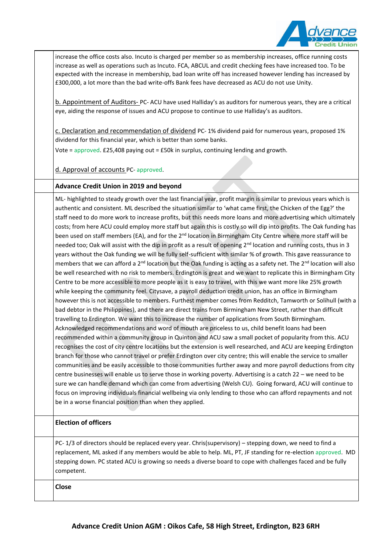

increase the office costs also. Incuto is charged per member so as membership increases, office running costs increase as well as operations such as Incuto. FCA, ABCUL and credit checking fees have increased too. To be expected with the increase in membership, bad loan write off has increased however lending has increased by £300,000, a lot more than the bad write-offs Bank fees have decreased as ACU do not use Unity.

b. Appointment of Auditors- PC- ACU have used Halliday's as auditors for numerous years, they are a critical eye, aiding the response of issues and ACU propose to continue to use Halliday's as auditors.

c. Declaration and recommendation of dividend PC- 1% dividend paid for numerous years, proposed 1% dividend for this financial year, which is better than some banks.

Vote = approved. £25,408 paying out = £50k in surplus, continuing lending and growth.

d. Approval of accounts PC- approved.

### **Advance Credit Union in 2019 and beyond**

ML- highlighted to steady growth over the last financial year, profit margin is similar to previous years which is authentic and consistent. ML described the situation similar to 'what came first, the Chicken of the Egg?' the staff need to do more work to increase profits, but this needs more loans and more advertising which ultimately costs; from here ACU could employ more staff but again this is costly so will dip into profits. The Oak funding has been used on staff members (EA), and for the 2<sup>nd</sup> location in Birmingham City Centre where more staff will be needed too; Oak will assist with the dip in profit as a result of opening 2<sup>nd</sup> location and running costs, thus in 3 years without the Oak funding we will be fully self-sufficient with similar % of growth. This gave reassurance to members that we can afford a  $2^{nd}$  location but the Oak funding is acting as a safety net. The  $2^{nd}$  location will also be well researched with no risk to members. Erdington is great and we want to replicate this in Birmingham City Centre to be more accessible to more people as it is easy to travel, with this we want more like 25% growth while keeping the community feel. Citysave, a payroll deduction credit union, has an office in Birmingham however this is not accessible to members. Furthest member comes from Redditch, Tamworth or Solihull (with a bad debtor in the Philippines), and there are direct trains from Birmingham New Street, rather than difficult travelling to Erdington. We want this to increase the number of applications from South Birmingham. Acknowledged recommendations and word of mouth are priceless to us, child benefit loans had been recommended within a community group in Quinton and ACU saw a small pocket of popularity from this. ACU recognises the cost of city centre locations but the extension is well researched, and ACU are keeping Erdington branch for those who cannot travel or prefer Erdington over city centre; this will enable the service to smaller communities and be easily accessible to those communities further away and more payroll deductions from city centre businesses will enable us to serve those in working poverty. Advertising is a catch 22 – we need to be sure we can handle demand which can come from advertising (Welsh CU). Going forward, ACU will continue to focus on improving individuals financial wellbeing via only lending to those who can afford repayments and not be in a worse financial position than when they applied.

### **Election of officers**

PC- 1/3 of directors should be replaced every year. Chris(supervisory) – stepping down, we need to find a replacement, ML asked if any members would be able to help. ML, PT, JF standing for re-election approved. MD stepping down. PC stated ACU is growing so needs a diverse board to cope with challenges faced and be fully competent.

**Close**